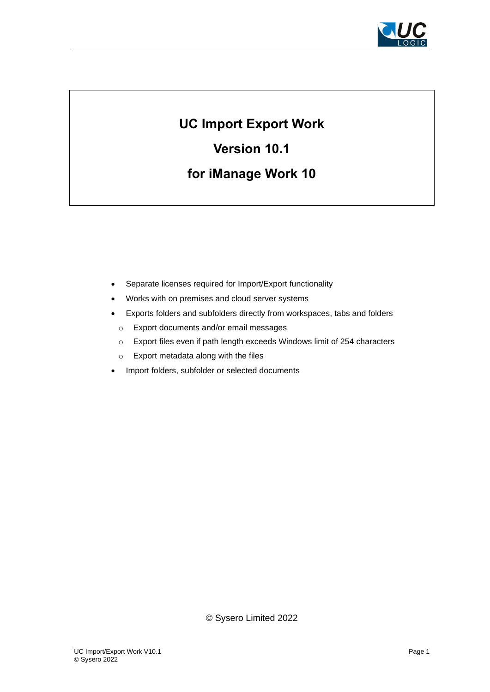

# **UC Import Export Work**

**Version 10.1**

# **for iManage Work 10**

- Separate licenses required for Import/Export functionality
- Works with on premises and cloud server systems
- Exports folders and subfolders directly from workspaces, tabs and folders
- o Export documents and/or email messages
- o Export files even if path length exceeds Windows limit of 254 characters
- o Export metadata along with the files
- Import folders, subfolder or selected documents

© Sysero Limited 2022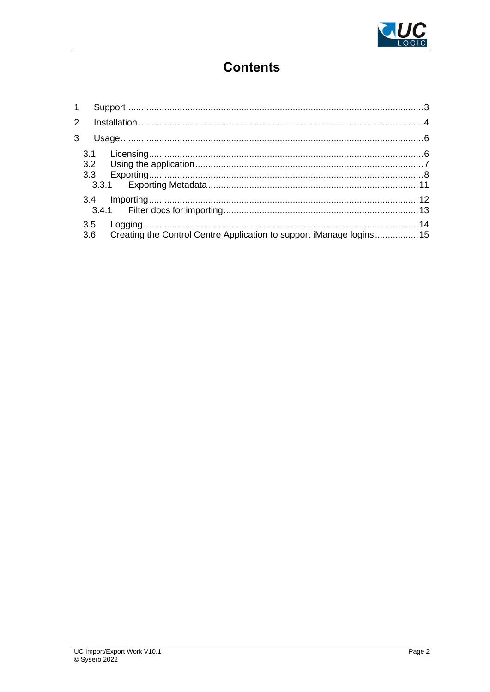

# **Contents**

|  | 3.6 Creating the Control Centre Application to support iManage logins 15 |  |
|--|--------------------------------------------------------------------------|--|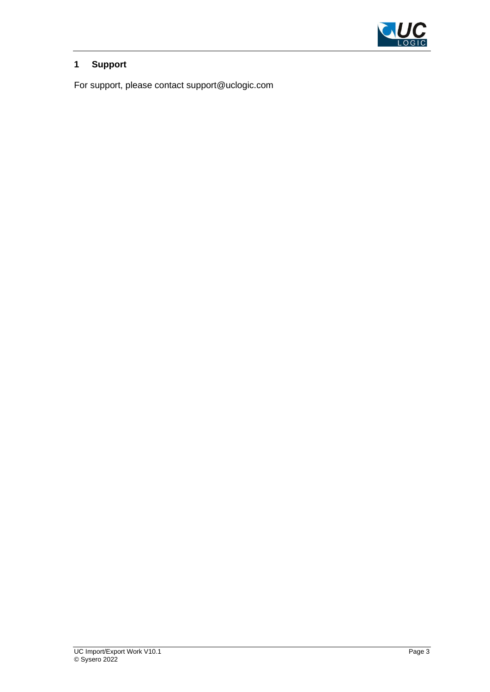

## <span id="page-2-0"></span>**1 Support**

For support, please contact support@uclogic.com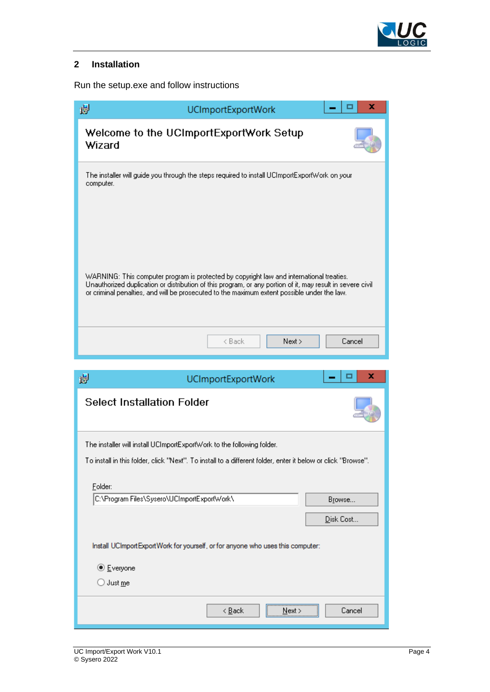

## <span id="page-3-0"></span>**2 Installation**

Run the setup.exe and follow instructions

| x<br>谩<br><b>UCImportExportWork</b>                                                                                                                                                                                                                                                                   |
|-------------------------------------------------------------------------------------------------------------------------------------------------------------------------------------------------------------------------------------------------------------------------------------------------------|
| Welcome to the UCImportExportWork Setup<br>Wizard                                                                                                                                                                                                                                                     |
| The installer will guide you through the steps required to install UCImportExportWork on your<br>computer.                                                                                                                                                                                            |
|                                                                                                                                                                                                                                                                                                       |
| WARNING: This computer program is protected by copyright law and international treaties.<br>Unauthorized duplication or distribution of this program, or any portion of it, may result in severe civil<br>or criminal penalties, and will be prosecuted to the maximum extent possible under the law. |
| Cancel<br>Next ><br>< Back                                                                                                                                                                                                                                                                            |
| x                                                                                                                                                                                                                                                                                                     |
| 谩<br><b>UCImportExportWork</b><br><b>Select Installation Folder</b>                                                                                                                                                                                                                                   |
|                                                                                                                                                                                                                                                                                                       |
|                                                                                                                                                                                                                                                                                                       |
| The installer will install UCImportExportWork to the following folder.<br>To install in this folder, click "Next". To install to a different folder, enter it below or click "Browse"                                                                                                                 |
|                                                                                                                                                                                                                                                                                                       |
| Folder:<br>C:\Program Files\Sysero\UCImportExportWork\<br>Browse                                                                                                                                                                                                                                      |
| Disk Cost                                                                                                                                                                                                                                                                                             |
| Install UCImportExportWork for yourself, or for anyone who uses this computer:                                                                                                                                                                                                                        |
| <b>◎</b> Everyone                                                                                                                                                                                                                                                                                     |

 $\overline{<\underline{B}}$ ack $\overline{<\underline{B}}$ 

 $N$ ext >

Cancel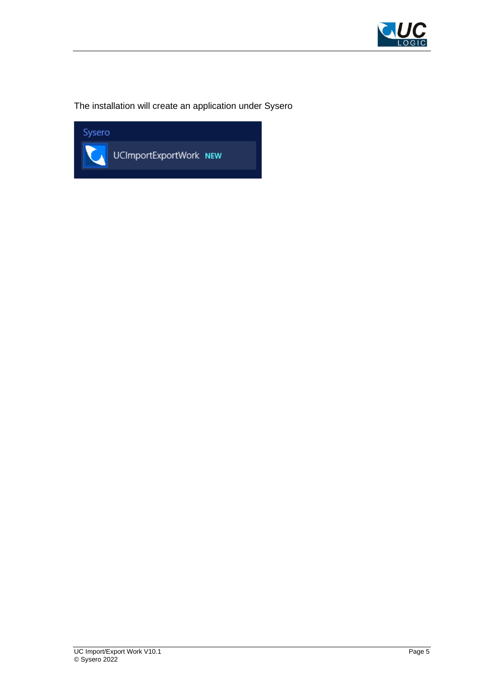

## The installation will create an application under Sysero

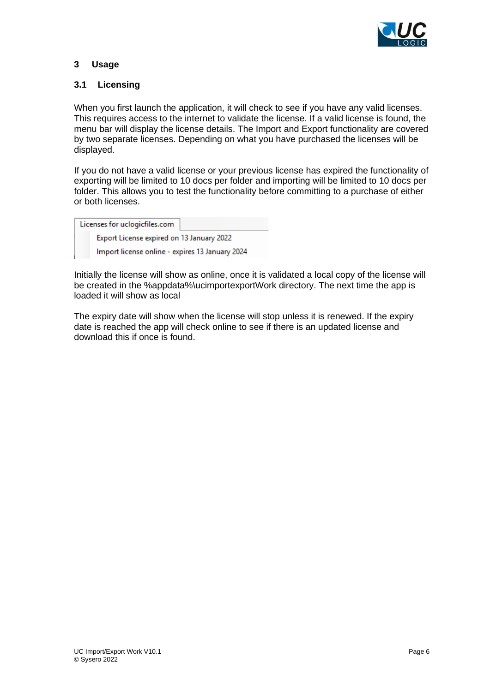

### <span id="page-5-0"></span>**3 Usage**

#### <span id="page-5-1"></span>**3.1 Licensing**

When you first launch the application, it will check to see if you have any valid licenses. This requires access to the internet to validate the license. If a valid license is found, the menu bar will display the license details. The Import and Export functionality are covered by two separate licenses. Depending on what you have purchased the licenses will be displayed.

If you do not have a valid license or your previous license has expired the functionality of exporting will be limited to 10 docs per folder and importing will be limited to 10 docs per folder. This allows you to test the functionality before committing to a purchase of either or both licenses.

| Licenses for uclogicfiles.com                   |  |
|-------------------------------------------------|--|
| Export License expired on 13 January 2022       |  |
| Import license online - expires 13 January 2024 |  |

Initially the license will show as online, once it is validated a local copy of the license will be created in the %appdata%\ucimportexportWork directory. The next time the app is loaded it will show as local

The expiry date will show when the license will stop unless it is renewed. If the expiry date is reached the app will check online to see if there is an updated license and download this if once is found.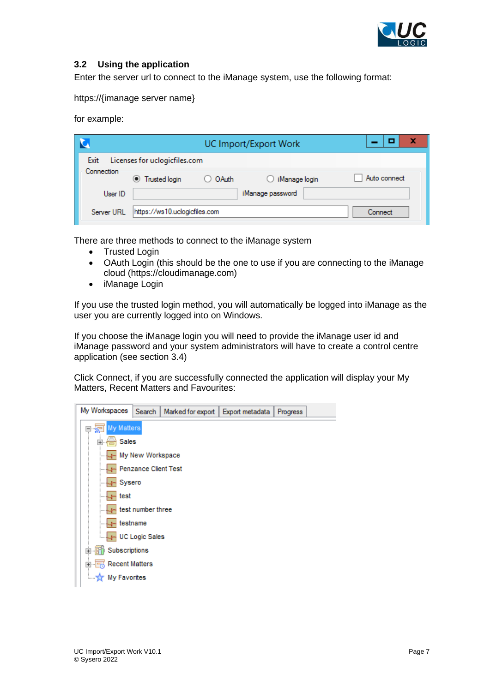

#### <span id="page-6-0"></span>**3.2 Using the application**

Enter the server url to connect to the iManage system, use the following format:

https://{imanage server name}

for example:

|            | UC Import/Export Work         |         |                  |              |  |  |  |  |
|------------|-------------------------------|---------|------------------|--------------|--|--|--|--|
| Exit       | Licenses for uclogicfiles.com |         |                  |              |  |  |  |  |
| Connection | <b>Trusted login</b>          | O OAuth | iManage login    | Auto connect |  |  |  |  |
| User ID    |                               |         | iManage password |              |  |  |  |  |
| Server URL | https://ws10.uclogicfiles.com |         |                  | Connect      |  |  |  |  |

There are three methods to connect to the iManage system

- Trusted Login
- OAuth Login (this should be the one to use if you are connecting to the iManage cloud (https://cloudimanage.com)
- iManage Login

If you use the trusted login method, you will automatically be logged into iManage as the user you are currently logged into on Windows.

If you choose the iManage login you will need to provide the iManage user id and iManage password and your system administrators will have to create a control centre application (see section [3.4\)](#page-11-0)

Click Connect, if you are successfully connected the application will display your My Matters, Recent Matters and Favourites:

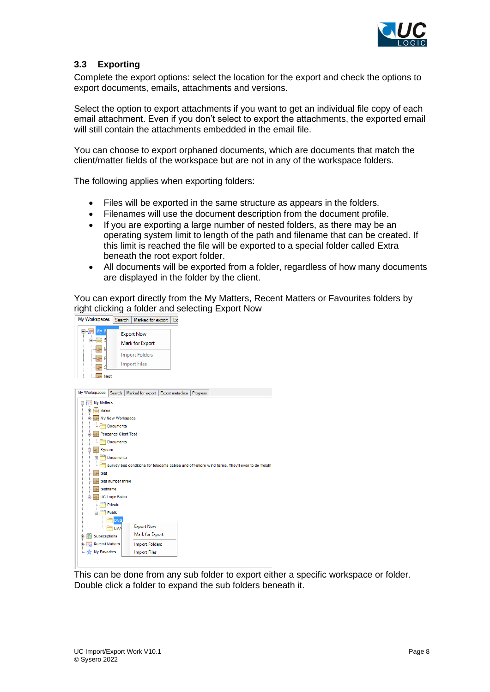

### <span id="page-7-0"></span>**3.3 Exporting**

Complete the export options: select the location for the export and check the options to export documents, emails, attachments and versions.

Select the option to export attachments if you want to get an individual file copy of each email attachment. Even if you don't select to export the attachments, the exported email will still contain the attachments embedded in the email file.

You can choose to export orphaned documents, which are documents that match the client/matter fields of the workspace but are not in any of the workspace folders.

The following applies when exporting folders:

- Files will be exported in the same structure as appears in the folders.
- Filenames will use the document description from the document profile.
- If you are exporting a large number of nested folders, as there may be an operating system limit to length of the path and filename that can be created. If this limit is reached the file will be exported to a special folder called Extra beneath the root export folder.
- All documents will be exported from a folder, regardless of how many documents are displayed in the folder by the client.

You can export directly from the My Matters, Recent Matters or Favourites folders by right clicking a folder and selecting Export Now





This can be done from any sub folder to export either a specific workspace or folder. Double click a folder to expand the sub folders beneath it.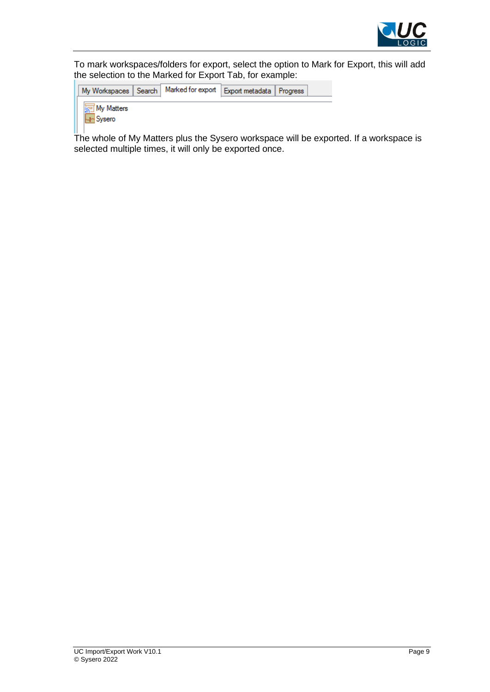

To mark workspaces/folders for export, select the option to Mark for Export, this will add the selection to the Marked for Export Tab, for example:

|          | My Workspaces   Search        | Marked for export   Export metadata   Progress |  |  |
|----------|-------------------------------|------------------------------------------------|--|--|
| I Sysero | <mark>∖ज</mark> ़ा My Matters |                                                |  |  |

The whole of My Matters plus the Sysero workspace will be exported. If a workspace is selected multiple times, it will only be exported once.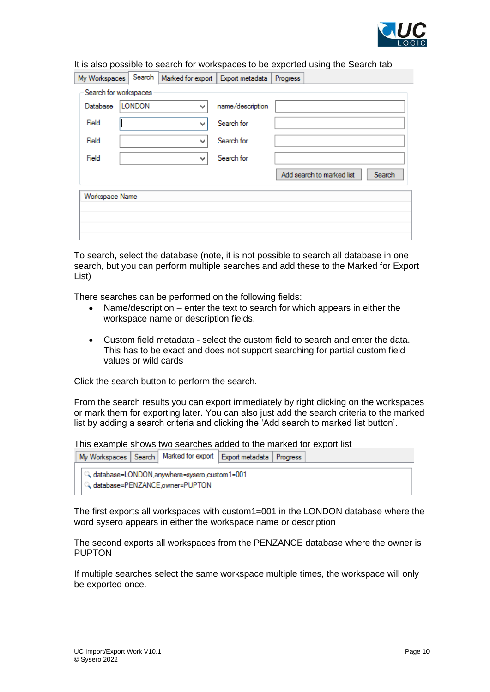

|                | It is also possible to search for workspaces to be exported using the Search tab |   |                                     |                                     |  |  |  |  |
|----------------|----------------------------------------------------------------------------------|---|-------------------------------------|-------------------------------------|--|--|--|--|
| My Workspaces  | Search                                                                           |   | Marked for export   Export metadata | Progress                            |  |  |  |  |
|                | Search for workspaces                                                            |   |                                     |                                     |  |  |  |  |
| Database       | <b>LONDON</b>                                                                    | ٧ | name/description                    |                                     |  |  |  |  |
| Field          | v                                                                                |   | Search for                          |                                     |  |  |  |  |
| Field          | v                                                                                |   | Search for                          |                                     |  |  |  |  |
| Field          |                                                                                  | ٧ | Search for                          |                                     |  |  |  |  |
|                |                                                                                  |   |                                     | Add search to marked list<br>Search |  |  |  |  |
| Workspace Name |                                                                                  |   |                                     |                                     |  |  |  |  |
|                |                                                                                  |   |                                     |                                     |  |  |  |  |
|                |                                                                                  |   |                                     |                                     |  |  |  |  |
|                |                                                                                  |   |                                     |                                     |  |  |  |  |

To search, select the database (note, it is not possible to search all database in one search, but you can perform multiple searches and add these to the Marked for Export List)

There searches can be performed on the following fields:

- Name/description enter the text to search for which appears in either the workspace name or description fields.
- Custom field metadata select the custom field to search and enter the data. This has to be exact and does not support searching for partial custom field values or wild cards

Click the search button to perform the search.

From the search results you can export immediately by right clicking on the workspaces or mark them for exporting later. You can also just add the search criteria to the marked list by adding a search criteria and clicking the 'Add search to marked list button'.

This example shows two searches added to the marked for export list

| My Workspaces   Search   Marked for export   Export metadata   Progress |  |  |
|-------------------------------------------------------------------------|--|--|
| database=LONDON,anywhere=sysero,custom1=001                             |  |  |

database=PENZANCE,owner=PUPTON

The first exports all workspaces with custom1=001 in the LONDON database where the word sysero appears in either the workspace name or description

The second exports all workspaces from the PENZANCE database where the owner is **PUPTON** 

If multiple searches select the same workspace multiple times, the workspace will only be exported once.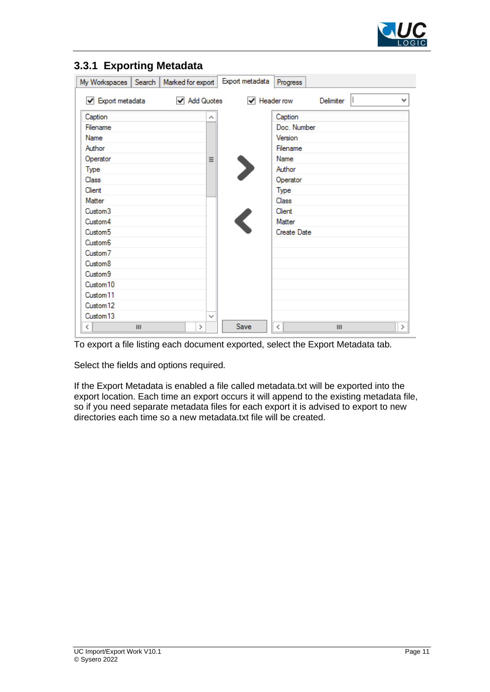

| My Workspaces                         | Search | Marked for export |   | Export metadata                 | Progress    |                |   |         |
|---------------------------------------|--------|-------------------|---|---------------------------------|-------------|----------------|---|---------|
| $\blacktriangleright$ Export metadata |        | ✔ Add Quotes      |   | $\blacktriangledown$ Header row |             | Delimiter      | Ш | v       |
| Caption                               |        |                   | Α |                                 | Caption     |                |   |         |
| Filename                              |        |                   |   |                                 | Doc. Number |                |   |         |
| Name                                  |        |                   |   |                                 | Version     |                |   |         |
| Author                                |        |                   |   |                                 | Filename    |                |   |         |
| Operator                              |        |                   | Ξ |                                 | Name        |                |   |         |
| Type                                  |        |                   |   |                                 | Author      |                |   |         |
| Class                                 |        |                   |   |                                 | Operator    |                |   |         |
| Client                                |        |                   |   |                                 | Type        |                |   |         |
| Matter                                |        |                   |   |                                 | Class       |                |   |         |
| Custom <sub>3</sub>                   |        |                   |   |                                 | Client      |                |   |         |
| Custom4                               |        |                   |   |                                 | Matter      |                |   |         |
| Custom <sub>5</sub>                   |        |                   |   |                                 | Create Date |                |   |         |
| Custom <sub>6</sub>                   |        |                   |   |                                 |             |                |   |         |
| Custom <sub>7</sub>                   |        |                   |   |                                 |             |                |   |         |
| Custom <sub>8</sub>                   |        |                   |   |                                 |             |                |   |         |
| Custom <sub>9</sub>                   |        |                   |   |                                 |             |                |   |         |
| Custom <sub>10</sub>                  |        |                   |   |                                 |             |                |   |         |
| Custom <sub>11</sub>                  |        |                   |   |                                 |             |                |   |         |
| Custom <sub>12</sub>                  |        |                   |   |                                 |             |                |   |         |
| Custom <sub>13</sub>                  |        |                   | v |                                 |             |                |   |         |
| ≺                                     | Ш      | ≻                 |   | Save                            | ≺           | $\mathbf{III}$ |   | $\,>\,$ |

## <span id="page-10-0"></span>**3.3.1 Exporting Metadata**

To export a file listing each document exported, select the Export Metadata tab.

Select the fields and options required.

If the Export Metadata is enabled a file called metadata.txt will be exported into the export location. Each time an export occurs it will append to the existing metadata file, so if you need separate metadata files for each export it is advised to export to new directories each time so a new metadata.txt file will be created.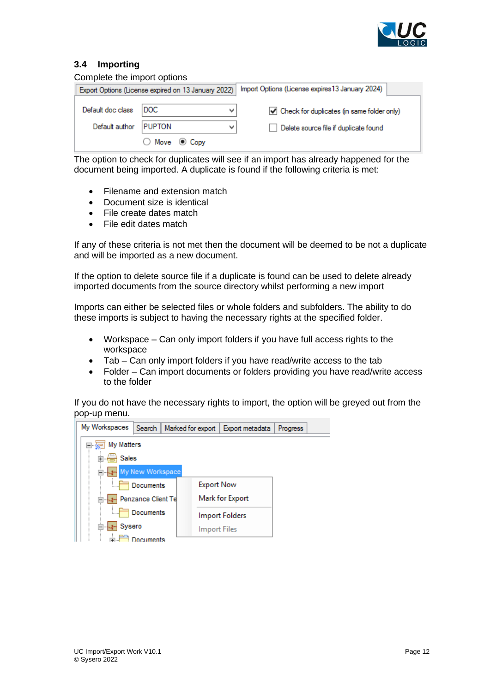

### <span id="page-11-0"></span>**3.4 Importing**

| Complete the import options |                                                     |                                                  |  |  |  |  |  |  |
|-----------------------------|-----------------------------------------------------|--------------------------------------------------|--|--|--|--|--|--|
|                             | Export Options (License expired on 13 January 2022) | Import Options (License expires 13 January 2024) |  |  |  |  |  |  |
| Default doc class           | DOC.<br>v                                           | Check for duplicates (in same folder only)       |  |  |  |  |  |  |
| Default author              | <b>PUPTON</b><br>v                                  | Delete source file if duplicate found            |  |  |  |  |  |  |
|                             | $\bigcirc$ Move $\circledcirc$ Copy                 |                                                  |  |  |  |  |  |  |

The option to check for duplicates will see if an import has already happened for the document being imported. A duplicate is found if the following criteria is met:

- Filename and extension match
- Document size is identical
- File create dates match
- File edit dates match

If any of these criteria is not met then the document will be deemed to be not a duplicate and will be imported as a new document.

If the option to delete source file if a duplicate is found can be used to delete already imported documents from the source directory whilst performing a new import

Imports can either be selected files or whole folders and subfolders. The ability to do these imports is subject to having the necessary rights at the specified folder.

- Workspace Can only import folders if you have full access rights to the workspace
- Tab Can only import folders if you have read/write access to the tab
- Folder Can import documents or folders providing you have read/write access to the folder

If you do not have the necessary rights to import, the option will be greyed out from the pop-up menu.

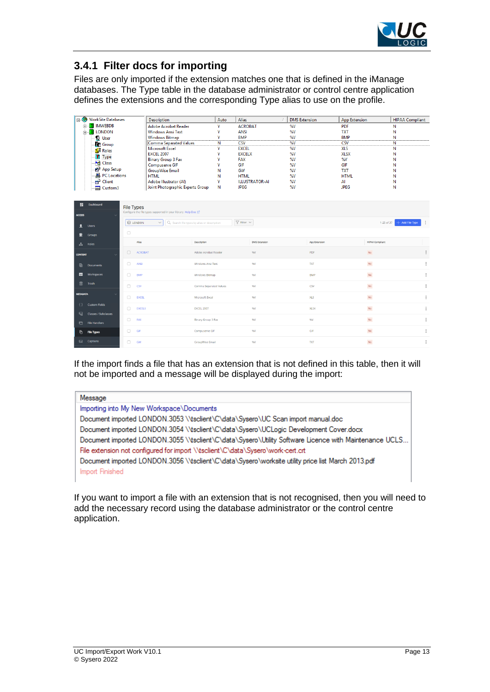

# <span id="page-12-0"></span>**3.4.1 Filter docs for importing**

Files are only imported if the extension matches one that is defined in the iManage databases. The Type table in the database administrator or control centre application defines the extensions and the corresponding Type alias to use on the profile.

| $\Box$ $\odot$      | <b>WorkSite Databases</b>                                                                      |                                        | Description                                                      | Auto                   | <b>Alias</b>              |                       |          | <b>DMS</b> Extension | <b>App Extension</b> |                                 | <b>HIPAA Compliant</b> |  |
|---------------------|------------------------------------------------------------------------------------------------|----------------------------------------|------------------------------------------------------------------|------------------------|---------------------------|-----------------------|----------|----------------------|----------------------|---------------------------------|------------------------|--|
| <b>MWEBDB</b><br>Ė. |                                                                                                | Adobe Acrobat Reader                   | Y                                                                | <b>ACROBAT</b>         |                           | %V                    |          | <b>PDF</b>           |                      | Ν                               |                        |  |
|                     | <b>E-B</b> LONDON                                                                              |                                        | <b>Windows Ansi Text</b>                                         | Y                      | <b>ANSI</b>               |                       | %V       |                      | <b>TXT</b>           |                                 | N                      |  |
|                     | <b>Diser</b>                                                                                   |                                        | <b>Windows Bitmap</b>                                            | Y                      | <b>BMP</b>                |                       | %V       |                      | <b>BMP</b>           |                                 | N                      |  |
|                     | <b>C</b> Group                                                                                 |                                        | Comma Separated Values                                           | Ν                      | <b>CSV</b>                |                       | %V       |                      | <b>CSV</b>           |                                 | N                      |  |
|                     | <b>Roles</b>                                                                                   |                                        | <b>Microsoft Excel</b>                                           | Y                      | <b>EXCEL</b>              |                       | %V       |                      | <b>XLS</b>           |                                 | N                      |  |
|                     | Ti Type                                                                                        |                                        | <b>EXCEL 2007</b>                                                | Y                      | <b>EXCELX</b>             |                       | %V       |                      | <b>XLSX</b>          |                                 | N                      |  |
|                     | <b>Class</b>                                                                                   |                                        | <b>Binary Group 3 Fax</b><br>Compuserve GIF                      | γ<br>Y                 | <b>FAX</b><br>GIF         |                       | %V<br>%V |                      | %V<br>GIF            |                                 | N<br>N                 |  |
|                     | App Setup                                                                                      |                                        | GroupWise Email                                                  | Ν                      | GW                        |                       | %V       |                      | <b>TXT</b>           |                                 | Ν                      |  |
|                     | <b>A</b> PC Locations                                                                          |                                        | <b>HTML</b>                                                      | Ν                      | <b>HTML</b>               |                       | %V       |                      | <b>HTML</b>          |                                 | Ν                      |  |
|                     | $\bigoplus$ Client                                                                             |                                        | Adobe Illustrator (AI)                                           | Y                      |                           | <b>ILLUSTRATOR-AI</b> | %V       |                      | AI                   |                                 | N                      |  |
|                     | <b>Custom3</b>                                                                                 |                                        | Joint Photographic Experts Group                                 | N                      | <b>JPEG</b>               |                       | %V       |                      | <b>JPEG</b>          |                                 | N                      |  |
|                     |                                                                                                |                                        |                                                                  |                        |                           |                       |          |                      |                      |                                 |                        |  |
|                     |                                                                                                |                                        |                                                                  |                        |                           |                       |          |                      |                      |                                 |                        |  |
| H                   | Dashboard                                                                                      | <b>File Types</b>                      |                                                                  |                        |                           |                       |          |                      |                      |                                 |                        |  |
| <b>ACCESS</b>       |                                                                                                |                                        | Configure the file types supported in your library. Help Doc [2] |                        |                           |                       |          |                      |                      |                                 |                        |  |
| ┚                   | <b>Q LONDON</b><br>Q Search file types by alias or description<br>$\checkmark$<br><b>Users</b> |                                        |                                                                  |                        | $\nabla$ Filter $\sqrt{}$ |                       |          |                      |                      | $+$ Add File Type<br>1-25 of 37 |                        |  |
| 2                   | <b>Groups</b>                                                                                  | $\Box$                                 |                                                                  |                        |                           |                       |          |                      |                      |                                 |                        |  |
| A.                  | <b>Roles</b>                                                                                   |                                        | Alias                                                            | Description            |                           | <b>DMS</b> Extension  |          | <b>App Extension</b> |                      | <b>HIPAA Compliant</b>          |                        |  |
| <b>CONTENT</b>      |                                                                                                | $\Box$                                 | <b>ACROBAT</b>                                                   | Adobe Acrobat Reader   |                           | W                     |          | PDF                  |                      | <b>No</b>                       | $\vdots$               |  |
|                     |                                                                                                |                                        |                                                                  |                        |                           |                       |          |                      |                      |                                 |                        |  |
| 偱                   | <b>Documents</b>                                                                               | $\Box$                                 | ANSI                                                             | Windows Ansi Text      |                           | %V                    |          | <b>TXT</b>           |                      | $\mathsf{No}$                   | ÷                      |  |
| $\frac{1}{2}$       | Workspaces                                                                                     | $\Box$                                 | <b>BMP</b>                                                       | Windows Bitmap         |                           | 96V                   |          | <b>BMP</b>           |                      | $_{\rm No}$                     | $\vdots$               |  |
| 而                   | Trash                                                                                          | 0                                      | CSV                                                              | Comma Separated Values |                           | 96V                   |          | CSV                  |                      | $\mathsf{No}$                   | $\ddot{\ddot{\ }}$     |  |
| <b>METADATA</b>     |                                                                                                |                                        |                                                                  |                        |                           |                       |          |                      |                      |                                 |                        |  |
|                     |                                                                                                | n                                      | EXCEL                                                            | Microsoft Excel        |                           | %V                    |          | XLS                  |                      | $\mathsf{No}$                   | $\ddot{\ddot{\ }}$     |  |
| $\{\}$              | <b>Custom Fields</b>                                                                           |                                        |                                                                  |                        |                           |                       |          |                      |                      |                                 |                        |  |
| 믃                   | Classes / Subclasses                                                                           |                                        | $\Box$<br><b>EXCELX</b><br><b>EXCEL 2007</b>                     |                        |                           | 96V                   |          | <b>XLSX</b>          |                      | $\mathsf{No}$                   | $\ddot{\ddot{\ }}$     |  |
|                     |                                                                                                | $\Box$                                 | FAX                                                              | Binary Group 3 Fax     |                           | %V                    |          | %V                   |                      | $\mathsf{No}$                   | $\ddot{\ddot{\ }}$     |  |
| 6                   | <b>File Handlers</b>                                                                           |                                        |                                                                  |                        |                           |                       |          |                      |                      |                                 |                        |  |
| ō                   | <b>File Types</b>                                                                              | 0                                      | GIF                                                              | Compuserve GIF         |                           | %V                    |          | GIF                  |                      | $_{\rm No}$                     | $\vdots$               |  |
|                     | captions                                                                                       | $\Box$<br>GW<br><b>GroupWise Email</b> |                                                                  |                        |                           | 96V                   |          | <b>TXT</b>           |                      | No                              | $\vdots$               |  |

If the import finds a file that has an extension that is not defined in this table, then it will not be imported and a message will be displayed during the import:

| Importing into My New Workspace\Documents                                                             |
|-------------------------------------------------------------------------------------------------------|
|                                                                                                       |
| Document imported LONDON.3053 \\tsclient\C\data\Sysero\UC Scan import manual.doc                      |
| Document imported LONDON.3054 \\tsclient\C\data\Sysero\UCLogic Development Cover.docx                 |
| Document imported LONDON.3055 \\tsclient\C\data\Sysero\Utility Software Licence with Maintenance UCLS |
| File extension not configured for import \\tsclient\C\data\Sysero\work-cert.crt                       |
| Document imported LONDON.3056 \\tsclient\C\data\Sysero\worksite utility price list March 2013.pdf     |
| Import Finished                                                                                       |

If you want to import a file with an extension that is not recognised, then you will need to add the necessary record using the database administrator or the control centre application.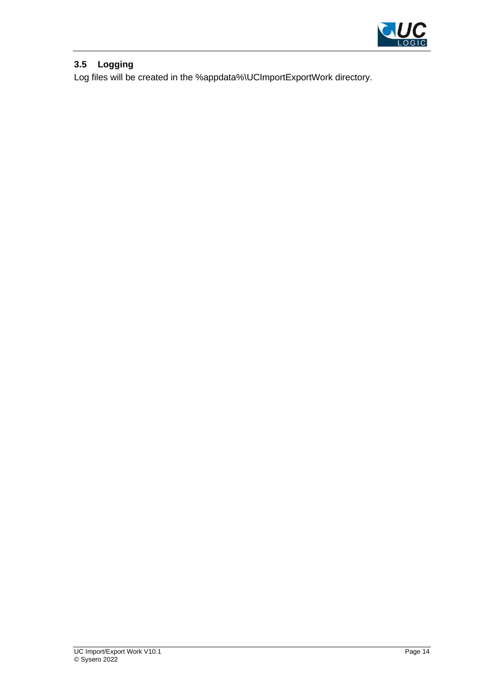

## <span id="page-13-0"></span>**3.5 Logging**

Log files will be created in the %appdata%\UCImportExportWork directory.